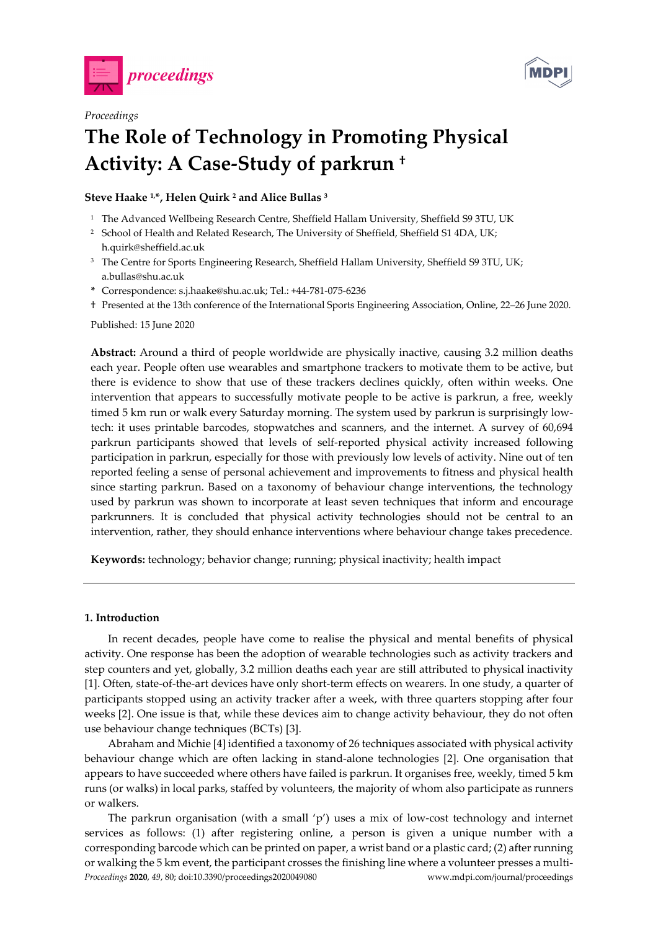

*Proceedings* 



# **The Role of Technology in Promoting Physical Activity: A Case-Study of parkrun †**

**Steve Haake 1,\*, Helen Quirk 2 and Alice Bullas 3**

- <sup>1</sup> The Advanced Wellbeing Research Centre, Sheffield Hallam University, Sheffield S9 3TU, UK
- <sup>2</sup> School of Health and Related Research, The University of Sheffield, Sheffield S1 4DA, UK; h.quirk@sheffield.ac.uk
- <sup>3</sup> The Centre for Sports Engineering Research, Sheffield Hallam University, Sheffield S9 3TU, UK; a.bullas@shu.ac.uk
- **\*** Correspondence: s.j.haake@shu.ac.uk; Tel.: +44-781-075-6236
- † Presented at the 13th conference of the International Sports Engineering Association, Online, 22–26 June 2020.

Published: 15 June 2020

**Abstract:** Around a third of people worldwide are physically inactive, causing 3.2 million deaths each year. People often use wearables and smartphone trackers to motivate them to be active, but there is evidence to show that use of these trackers declines quickly, often within weeks. One intervention that appears to successfully motivate people to be active is parkrun, a free, weekly timed 5 km run or walk every Saturday morning. The system used by parkrun is surprisingly lowtech: it uses printable barcodes, stopwatches and scanners, and the internet. A survey of 60,694 parkrun participants showed that levels of self-reported physical activity increased following participation in parkrun, especially for those with previously low levels of activity. Nine out of ten reported feeling a sense of personal achievement and improvements to fitness and physical health since starting parkrun. Based on a taxonomy of behaviour change interventions, the technology used by parkrun was shown to incorporate at least seven techniques that inform and encourage parkrunners. It is concluded that physical activity technologies should not be central to an intervention, rather, they should enhance interventions where behaviour change takes precedence.

**Keywords:** technology; behavior change; running; physical inactivity; health impact

#### **1. Introduction**

In recent decades, people have come to realise the physical and mental benefits of physical activity. One response has been the adoption of wearable technologies such as activity trackers and step counters and yet, globally, 3.2 million deaths each year are still attributed to physical inactivity [1]. Often, state-of-the-art devices have only short-term effects on wearers. In one study, a quarter of participants stopped using an activity tracker after a week, with three quarters stopping after four weeks [2]. One issue is that, while these devices aim to change activity behaviour, they do not often use behaviour change techniques (BCTs) [3].

Abraham and Michie [4] identified a taxonomy of 26 techniques associated with physical activity behaviour change which are often lacking in stand-alone technologies [2]. One organisation that appears to have succeeded where others have failed is parkrun. It organises free, weekly, timed 5 km runs (or walks) in local parks, staffed by volunteers, the majority of whom also participate as runners or walkers.

*Proceedings* **2020**, *49*, 80; doi:10.3390/proceedings2020049080 www.mdpi.com/journal/proceedings The parkrun organisation (with a small 'p') uses a mix of low-cost technology and internet services as follows: (1) after registering online, a person is given a unique number with a corresponding barcode which can be printed on paper, a wrist band or a plastic card; (2) after running or walking the 5 km event, the participant crosses the finishing line where a volunteer presses a multi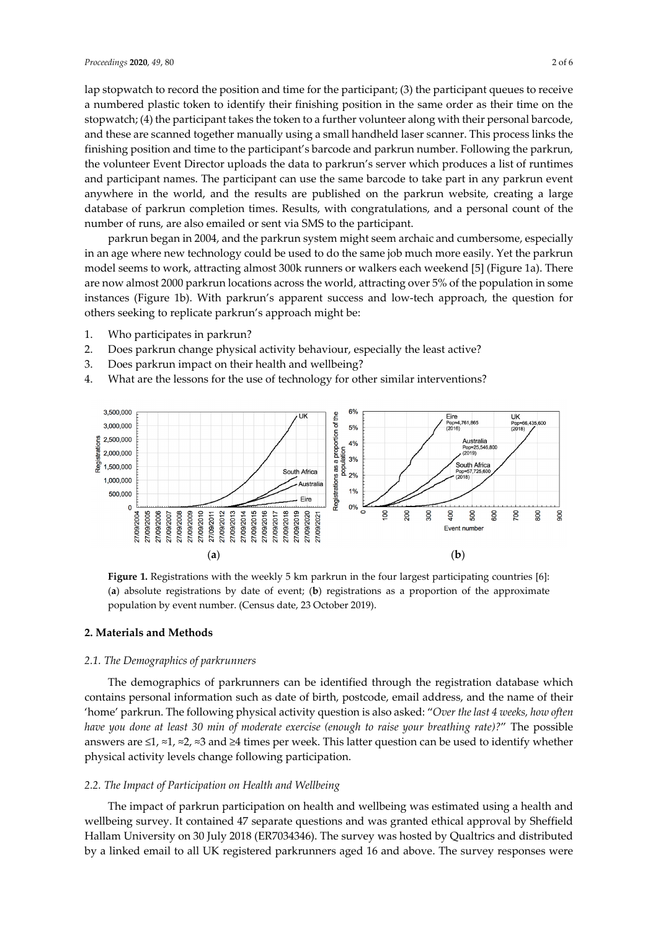lap stopwatch to record the position and time for the participant; (3) the participant queues to receive a numbered plastic token to identify their finishing position in the same order as their time on the stopwatch; (4) the participant takes the token to a further volunteer along with their personal barcode, and these are scanned together manually using a small handheld laser scanner. This process links the finishing position and time to the participant's barcode and parkrun number. Following the parkrun, the volunteer Event Director uploads the data to parkrun's server which produces a list of runtimes and participant names. The participant can use the same barcode to take part in any parkrun event anywhere in the world, and the results are published on the parkrun website, creating a large database of parkrun completion times. Results, with congratulations, and a personal count of the number of runs, are also emailed or sent via SMS to the participant.

parkrun began in 2004, and the parkrun system might seem archaic and cumbersome, especially in an age where new technology could be used to do the same job much more easily. Yet the parkrun model seems to work, attracting almost 300k runners or walkers each weekend [5] (Figure 1a). There are now almost 2000 parkrun locations across the world, attracting over 5% of the population in some instances (Figure 1b). With parkrun's apparent success and low-tech approach, the question for others seeking to replicate parkrun's approach might be:

- 1. Who participates in parkrun?
- 2. Does parkrun change physical activity behaviour, especially the least active?
- 3. Does parkrun impact on their health and wellbeing?
- 4. What are the lessons for the use of technology for other similar interventions?



**Figure 1.** Registrations with the weekly 5 km parkrun in the four largest participating countries [6]: (**a**) absolute registrations by date of event; (**b**) registrations as a proportion of the approximate population by event number. (Census date, 23 October 2019).

#### **2. Materials and Methods**

#### *2.1. The Demographics of parkrunners*

The demographics of parkrunners can be identified through the registration database which contains personal information such as date of birth, postcode, email address, and the name of their 'home' parkrun. The following physical activity question is also asked: "*Over the last 4 weeks, how often have you done at least 30 min of moderate exercise (enough to raise your breathing rate)?*" The possible answers are ≤1, ≈1, ≈2, ≈3 and ≥4 times per week. This latter question can be used to identify whether physical activity levels change following participation.

#### *2.2. The Impact of Participation on Health and Wellbeing*

The impact of parkrun participation on health and wellbeing was estimated using a health and wellbeing survey. It contained 47 separate questions and was granted ethical approval by Sheffield Hallam University on 30 July 2018 (ER7034346). The survey was hosted by Qualtrics and distributed by a linked email to all UK registered parkrunners aged 16 and above. The survey responses were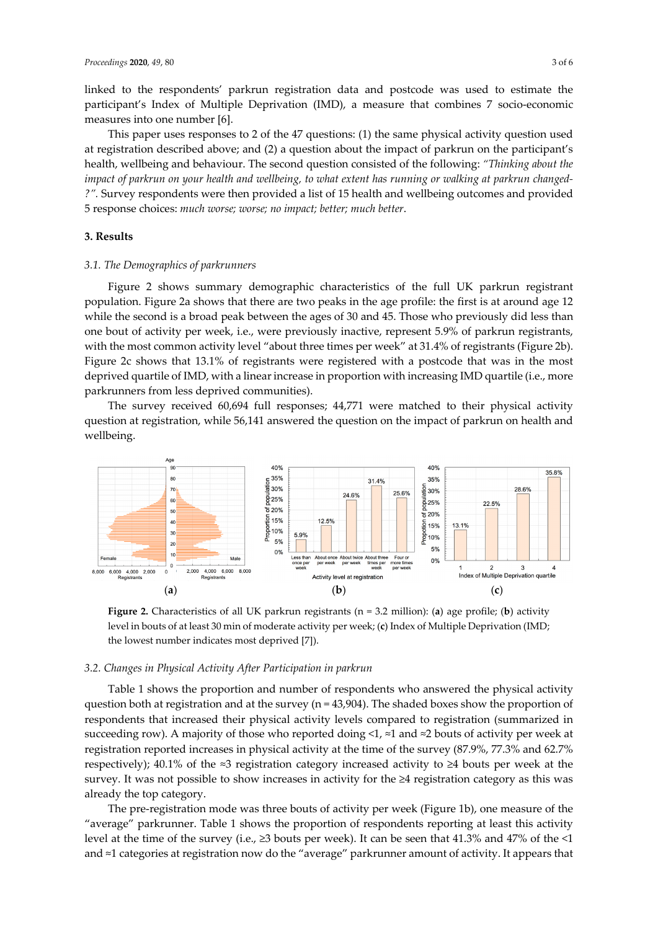linked to the respondents' parkrun registration data and postcode was used to estimate the participant's Index of Multiple Deprivation (IMD), a measure that combines 7 socio-economic measures into one number [6].

This paper uses responses to 2 of the 47 questions: (1) the same physical activity question used at registration described above; and (2) a question about the impact of parkrun on the participant's health, wellbeing and behaviour. The second question consisted of the following: *"Thinking about the impact of parkrun on your health and wellbeing, to what extent has running or walking at parkrun changed- ?".* Survey respondents were then provided a list of 15 health and wellbeing outcomes and provided 5 response choices: *much worse; worse; no impact; better; much better*.

## **3. Results**

#### *3.1. The Demographics of parkrunners*

Figure 2 shows summary demographic characteristics of the full UK parkrun registrant population. Figure 2a shows that there are two peaks in the age profile: the first is at around age 12 while the second is a broad peak between the ages of 30 and 45. Those who previously did less than one bout of activity per week, i.e., were previously inactive, represent 5.9% of parkrun registrants, with the most common activity level "about three times per week" at 31.4% of registrants (Figure 2b). Figure 2c shows that 13.1% of registrants were registered with a postcode that was in the most deprived quartile of IMD, with a linear increase in proportion with increasing IMD quartile (i.e., more parkrunners from less deprived communities).

The survey received 60,694 full responses; 44,771 were matched to their physical activity question at registration, while 56,141 answered the question on the impact of parkrun on health and wellbeing.



**Figure 2.** Characteristics of all UK parkrun registrants (n = 3.2 million): (**a**) age profile; (**b**) activity level in bouts of at least 30 min of moderate activity per week; (**c**) Index of Multiple Deprivation (IMD; the lowest number indicates most deprived [7]).

#### *3.2. Changes in Physical Activity After Participation in parkrun*

Table 1 shows the proportion and number of respondents who answered the physical activity question both at registration and at the survey ( $n = 43,904$ ). The shaded boxes show the proportion of respondents that increased their physical activity levels compared to registration (summarized in succeeding row). A majority of those who reported doing <1,  $\approx$ 1 and  $\approx$ 2 bouts of activity per week at registration reported increases in physical activity at the time of the survey (87.9%, 77.3% and 62.7% respectively); 40.1% of the ≈3 registration category increased activity to ≥4 bouts per week at the survey. It was not possible to show increases in activity for the ≥4 registration category as this was already the top category.

The pre-registration mode was three bouts of activity per week (Figure 1b), one measure of the "average" parkrunner. Table 1 shows the proportion of respondents reporting at least this activity level at the time of the survey (i.e., ≥3 bouts per week). It can be seen that 41.3% and 47% of the <1 and ≈1 categories at registration now do the "average" parkrunner amount of activity. It appears that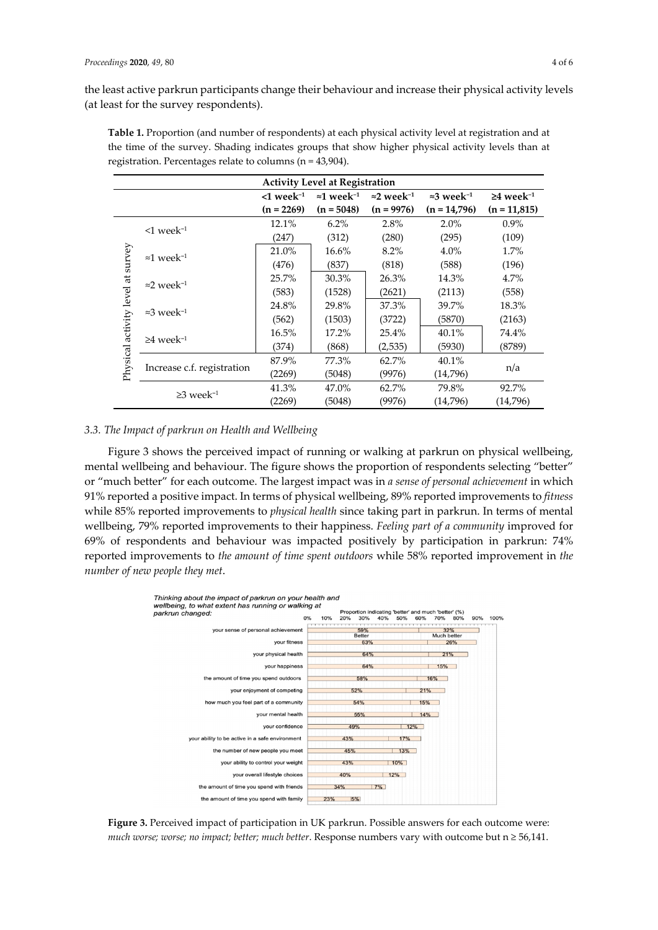the least active parkrun participants change their behaviour and increase their physical activity levels (at least for the survey respondents).

| <b>Activity Level at Registration</b> |                                |                          |                                |                                |                                |                             |
|---------------------------------------|--------------------------------|--------------------------|--------------------------------|--------------------------------|--------------------------------|-----------------------------|
|                                       |                                | $<$ 1 week <sup>-1</sup> | $\approx 1$ week <sup>-1</sup> | $\approx$ 2 week <sup>-1</sup> | $\approx$ 3 week <sup>-1</sup> | $\geq 4$ week <sup>-1</sup> |
|                                       |                                | $(n = 2269)$             | $(n = 5048)$                   | $(n = 9976)$                   | $(n = 14,796)$                 | $(n = 11,815)$              |
| Physical activity level at survey     | $\leq 1$ week <sup>-1</sup>    | 12.1%                    | $6.2\%$                        | 2.8%                           | $2.0\%$                        | $0.9\%$                     |
|                                       |                                | (247)                    | (312)                          | (280)                          | (295)                          | (109)                       |
|                                       | $\approx 1$ week <sup>-1</sup> | 21.0%                    | 16.6%                          | 8.2%                           | 4.0%                           | 1.7%                        |
|                                       |                                | (476)                    | (837)                          | (818)                          | (588)                          | (196)                       |
|                                       | $\approx$ 2 week <sup>-1</sup> | 25.7%                    | 30.3%                          | 26.3%                          | 14.3%                          | 4.7%                        |
|                                       |                                | (583)                    | (1528)                         | (2621)                         | (2113)                         | (558)                       |
|                                       | $\approx 3$ week <sup>-1</sup> | 24.8%                    | 29.8%                          | 37.3%                          | 39.7%                          | 18.3%                       |
|                                       |                                | (562)                    | (1503)                         | (3722)                         | (5870)                         | (2163)                      |
|                                       | $\geq 4$ week <sup>-1</sup>    | 16.5%                    | 17.2%                          | 25.4%                          | 40.1%                          | 74.4%                       |
|                                       |                                | (374)                    | (868)                          | (2, 535)                       | (5930)                         | (8789)                      |
|                                       | Increase c.f. registration     | 87.9%                    | 77.3%                          | 62.7%                          | 40.1%                          | n/a                         |
|                                       |                                | (2269)                   | (5048)                         | (9976)                         | (14,796)                       |                             |
|                                       | $\geq$ 3 week <sup>-1</sup>    | 41.3%                    | 47.0%                          | 62.7%                          | 79.8%                          | 92.7%                       |
|                                       |                                | (2269)                   | (5048)                         | (9976)                         | (14,796)                       | (14,796)                    |

**Table 1.** Proportion (and number of respondents) at each physical activity level at registration and at the time of the survey. Shading indicates groups that show higher physical activity levels than at registration. Percentages relate to columns (n = 43,904).

## *3.3. The Impact of parkrun on Health and Wellbeing*

Figure 3 shows the perceived impact of running or walking at parkrun on physical wellbeing, mental wellbeing and behaviour. The figure shows the proportion of respondents selecting "better" or "much better" for each outcome. The largest impact was in *a sense of personal achievement* in which 91% reported a positive impact. In terms of physical wellbeing, 89% reported improvements to *fitness* while 85% reported improvements to *physical health* since taking part in parkrun. In terms of mental wellbeing, 79% reported improvements to their happiness. *Feeling part of a community* improved for 69% of respondents and behaviour was impacted positively by participation in parkrun: 74% reported improvements to *the amount of time spent outdoors* while 58% reported improvement in *the number of new people they met*.



**Figure 3.** Perceived impact of participation in UK parkrun. Possible answers for each outcome were: *much worse; worse; no impact; better; much better*. Response numbers vary with outcome but n ≥ 56,141.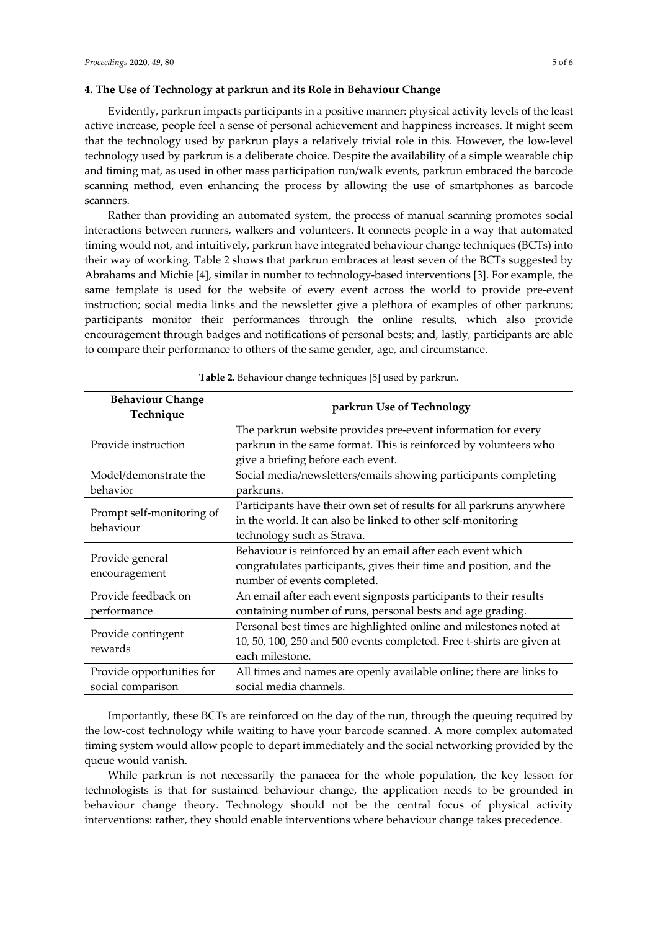### **4. The Use of Technology at parkrun and its Role in Behaviour Change**

Evidently, parkrun impacts participants in a positive manner: physical activity levels of the least active increase, people feel a sense of personal achievement and happiness increases. It might seem that the technology used by parkrun plays a relatively trivial role in this. However, the low-level technology used by parkrun is a deliberate choice. Despite the availability of a simple wearable chip and timing mat, as used in other mass participation run/walk events, parkrun embraced the barcode scanning method, even enhancing the process by allowing the use of smartphones as barcode scanners.

Rather than providing an automated system, the process of manual scanning promotes social interactions between runners, walkers and volunteers. It connects people in a way that automated timing would not, and intuitively, parkrun have integrated behaviour change techniques (BCTs) into their way of working. Table 2 shows that parkrun embraces at least seven of the BCTs suggested by Abrahams and Michie [4], similar in number to technology-based interventions [3]. For example, the same template is used for the website of every event across the world to provide pre-event instruction; social media links and the newsletter give a plethora of examples of other parkruns; participants monitor their performances through the online results, which also provide encouragement through badges and notifications of personal bests; and, lastly, participants are able to compare their performance to others of the same gender, age, and circumstance.

| <b>Behaviour Change</b>                |                                                                       |  |  |  |
|----------------------------------------|-----------------------------------------------------------------------|--|--|--|
| Technique                              | parkrun Use of Technology                                             |  |  |  |
|                                        | The parkrun website provides pre-event information for every          |  |  |  |
| Provide instruction                    | parkrun in the same format. This is reinforced by volunteers who      |  |  |  |
|                                        | give a briefing before each event.                                    |  |  |  |
| Model/demonstrate the                  | Social media/newsletters/emails showing participants completing       |  |  |  |
| behavior                               | parkruns.                                                             |  |  |  |
|                                        | Participants have their own set of results for all parkruns anywhere  |  |  |  |
| Prompt self-monitoring of<br>behaviour | in the world. It can also be linked to other self-monitoring          |  |  |  |
|                                        | technology such as Strava.                                            |  |  |  |
|                                        | Behaviour is reinforced by an email after each event which            |  |  |  |
| Provide general                        | congratulates participants, gives their time and position, and the    |  |  |  |
| encouragement                          | number of events completed.                                           |  |  |  |
| Provide feedback on                    | An email after each event signposts participants to their results     |  |  |  |
| performance                            | containing number of runs, personal bests and age grading.            |  |  |  |
|                                        | Personal best times are highlighted online and milestones noted at    |  |  |  |
| Provide contingent                     | 10, 50, 100, 250 and 500 events completed. Free t-shirts are given at |  |  |  |
| rewards                                | each milestone.                                                       |  |  |  |
| Provide opportunities for              | All times and names are openly available online; there are links to   |  |  |  |
| social comparison                      | social media channels.                                                |  |  |  |

**Table 2.** Behaviour change techniques [5] used by parkrun.

Importantly, these BCTs are reinforced on the day of the run, through the queuing required by the low-cost technology while waiting to have your barcode scanned. A more complex automated timing system would allow people to depart immediately and the social networking provided by the queue would vanish.

While parkrun is not necessarily the panacea for the whole population, the key lesson for technologists is that for sustained behaviour change, the application needs to be grounded in behaviour change theory. Technology should not be the central focus of physical activity interventions: rather, they should enable interventions where behaviour change takes precedence.